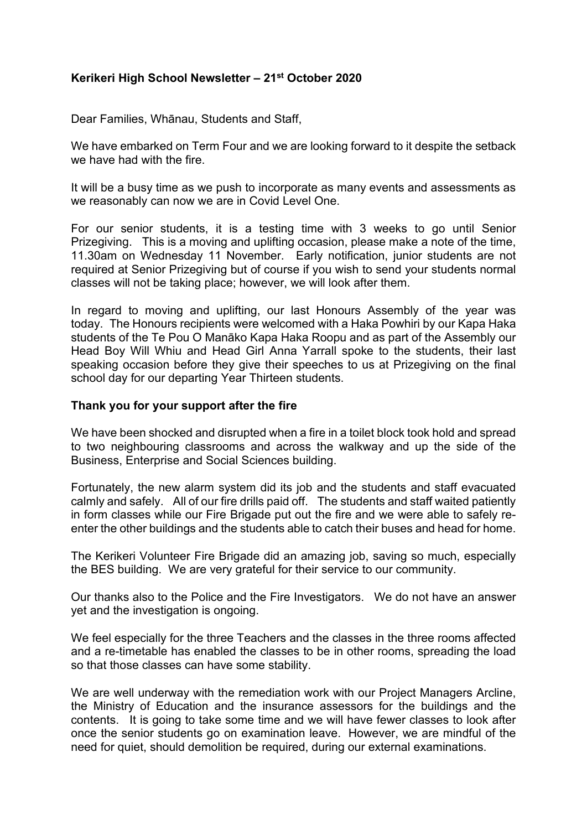# **Kerikeri High School Newsletter – 21st October 2020**

Dear Families, Whānau, Students and Staff,

We have embarked on Term Four and we are looking forward to it despite the setback we have had with the fire.

It will be a busy time as we push to incorporate as many events and assessments as we reasonably can now we are in Covid Level One.

For our senior students, it is a testing time with 3 weeks to go until Senior Prizegiving. This is a moving and uplifting occasion, please make a note of the time, 11.30am on Wednesday 11 November. Early notification, junior students are not required at Senior Prizegiving but of course if you wish to send your students normal classes will not be taking place; however, we will look after them.

In regard to moving and uplifting, our last Honours Assembly of the year was today. The Honours recipients were welcomed with a Haka Powhiri by our Kapa Haka students of the Te Pou O Manāko Kapa Haka Roopu and as part of the Assembly our Head Boy Will Whiu and Head Girl Anna Yarrall spoke to the students, their last speaking occasion before they give their speeches to us at Prizegiving on the final school day for our departing Year Thirteen students.

### **Thank you for your support after the fire**

We have been shocked and disrupted when a fire in a toilet block took hold and spread to two neighbouring classrooms and across the walkway and up the side of the Business, Enterprise and Social Sciences building.

Fortunately, the new alarm system did its job and the students and staff evacuated calmly and safely. All of our fire drills paid off. The students and staff waited patiently in form classes while our Fire Brigade put out the fire and we were able to safely reenter the other buildings and the students able to catch their buses and head for home.

The Kerikeri Volunteer Fire Brigade did an amazing job, saving so much, especially the BES building. We are very grateful for their service to our community.

Our thanks also to the Police and the Fire Investigators. We do not have an answer yet and the investigation is ongoing.

We feel especially for the three Teachers and the classes in the three rooms affected and a re-timetable has enabled the classes to be in other rooms, spreading the load so that those classes can have some stability.

We are well underway with the remediation work with our Project Managers Arcline, the Ministry of Education and the insurance assessors for the buildings and the contents. It is going to take some time and we will have fewer classes to look after once the senior students go on examination leave. However, we are mindful of the need for quiet, should demolition be required, during our external examinations.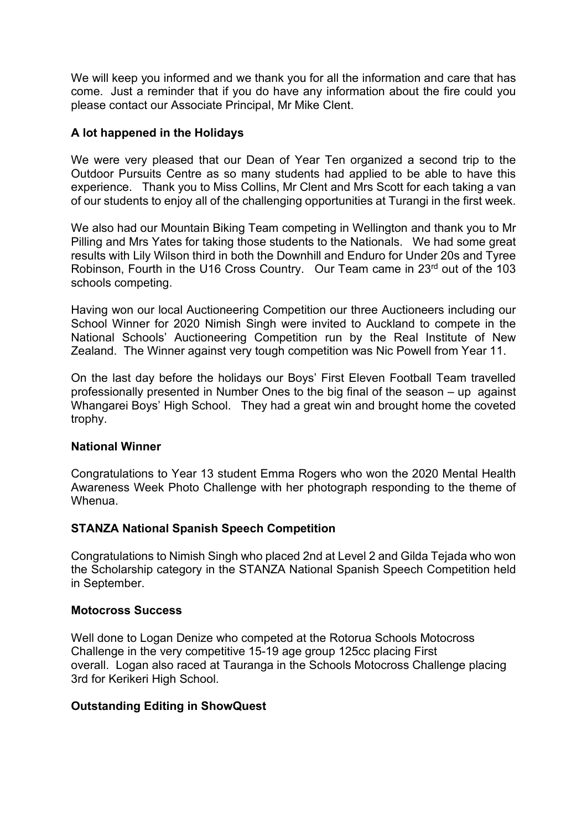We will keep you informed and we thank you for all the information and care that has come. Just a reminder that if you do have any information about the fire could you please contact our Associate Principal, Mr Mike Clent.

## **A lot happened in the Holidays**

We were very pleased that our Dean of Year Ten organized a second trip to the Outdoor Pursuits Centre as so many students had applied to be able to have this experience. Thank you to Miss Collins, Mr Clent and Mrs Scott for each taking a van of our students to enjoy all of the challenging opportunities at Turangi in the first week.

We also had our Mountain Biking Team competing in Wellington and thank you to Mr Pilling and Mrs Yates for taking those students to the Nationals. We had some great results with Lily Wilson third in both the Downhill and Enduro for Under 20s and Tyree Robinson, Fourth in the U16 Cross Country. Our Team came in 23<sup>rd</sup> out of the 103 schools competing.

Having won our local Auctioneering Competition our three Auctioneers including our School Winner for 2020 Nimish Singh were invited to Auckland to compete in the National Schools' Auctioneering Competition run by the Real Institute of New Zealand. The Winner against very tough competition was Nic Powell from Year 11.

On the last day before the holidays our Boys' First Eleven Football Team travelled professionally presented in Number Ones to the big final of the season – up against Whangarei Boys' High School. They had a great win and brought home the coveted trophy.

## **National Winner**

Congratulations to Year 13 student Emma Rogers who won the 2020 Mental Health Awareness Week Photo Challenge with her photograph responding to the theme of Whenua.

## **STANZA National Spanish Speech Competition**

Congratulations to Nimish Singh who placed 2nd at Level 2 and Gilda Tejada who won the Scholarship category in the STANZA National Spanish Speech Competition held in September.

### **Motocross Success**

Well done to Logan Denize who competed at the Rotorua Schools Motocross Challenge in the very competitive 15-19 age group 125cc placing First overall. Logan also raced at Tauranga in the Schools Motocross Challenge placing 3rd for Kerikeri High School.

## **Outstanding Editing in ShowQuest**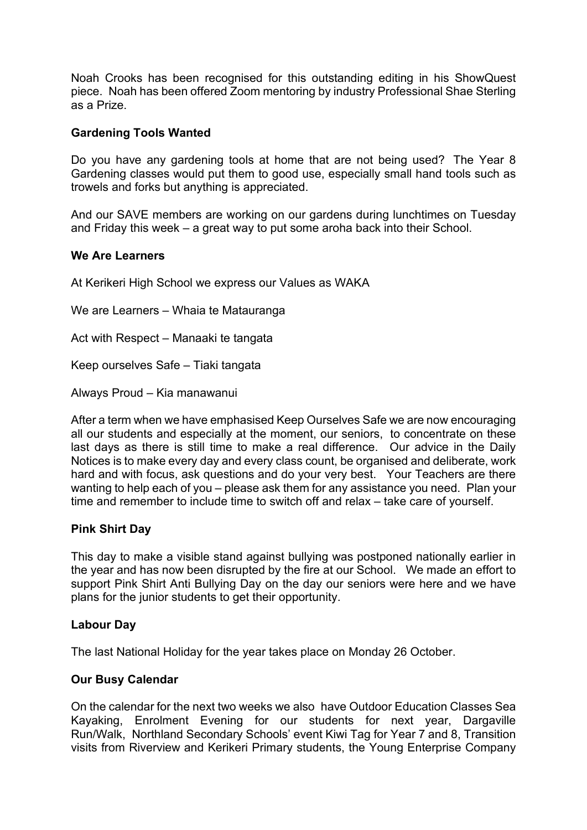Noah Crooks has been recognised for this outstanding editing in his ShowQuest piece. Noah has been offered Zoom mentoring by industry Professional Shae Sterling as a Prize.

## **Gardening Tools Wanted**

Do you have any gardening tools at home that are not being used? The Year 8 Gardening classes would put them to good use, especially small hand tools such as trowels and forks but anything is appreciated.

And our SAVE members are working on our gardens during lunchtimes on Tuesday and Friday this week – a great way to put some aroha back into their School.

### **We Are Learners**

At Kerikeri High School we express our Values as WAKA

We are Learners – Whaia te Matauranga

Act with Respect – Manaaki te tangata

Keep ourselves Safe – Tiaki tangata

Always Proud – Kia manawanui

After a term when we have emphasised Keep Ourselves Safe we are now encouraging all our students and especially at the moment, our seniors, to concentrate on these last days as there is still time to make a real difference. Our advice in the Daily Notices is to make every day and every class count, be organised and deliberate, work hard and with focus, ask questions and do your very best. Your Teachers are there wanting to help each of you – please ask them for any assistance you need. Plan your time and remember to include time to switch off and relax – take care of yourself.

### **Pink Shirt Day**

This day to make a visible stand against bullying was postponed nationally earlier in the year and has now been disrupted by the fire at our School. We made an effort to support Pink Shirt Anti Bullying Day on the day our seniors were here and we have plans for the junior students to get their opportunity.

### **Labour Day**

The last National Holiday for the year takes place on Monday 26 October.

## **Our Busy Calendar**

On the calendar for the next two weeks we also have Outdoor Education Classes Sea Kayaking, Enrolment Evening for our students for next year, Dargaville Run/Walk, Northland Secondary Schools' event Kiwi Tag for Year 7 and 8, Transition visits from Riverview and Kerikeri Primary students, the Young Enterprise Company